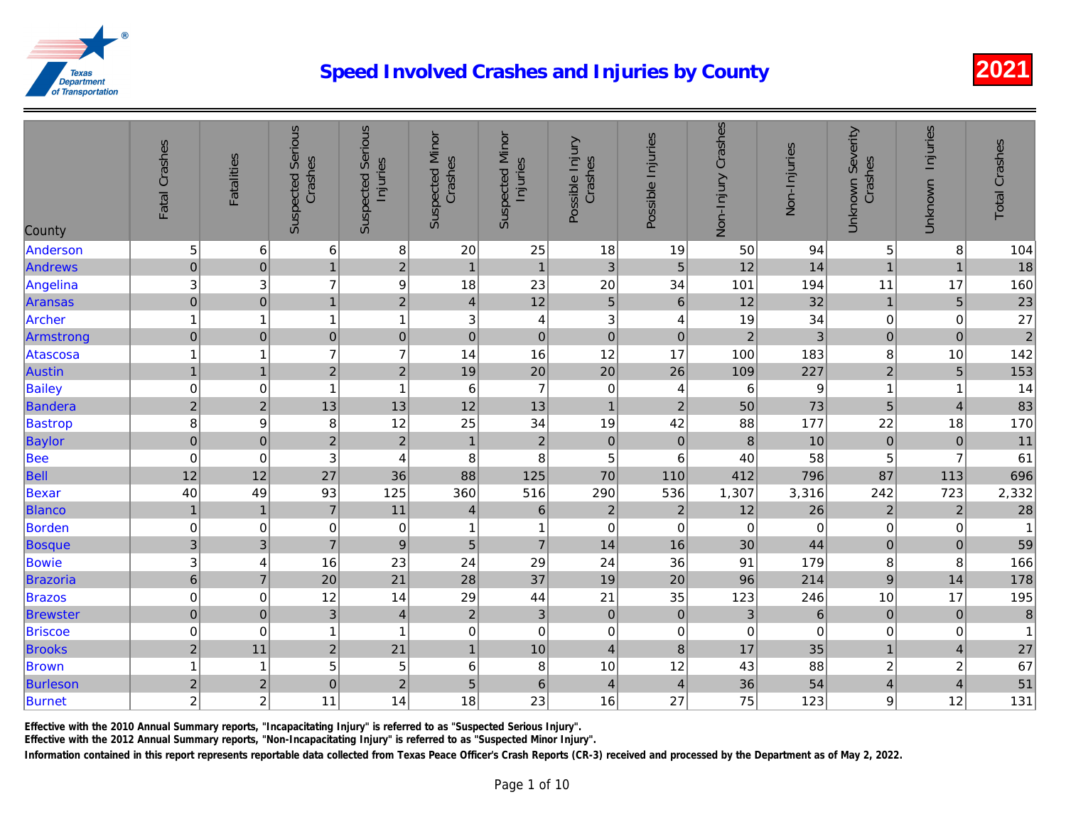| County          | Fatal Crashes             | Fatalities     | <b>Suspected Serious</b><br>Crashes | <b>Suspected Serious</b><br>Injuries | <b>Suspected Minor</b><br>Crashes | <b>Suspected Minor</b><br>Injuries | Possible Injury<br>Crashes | Possible Injuries | Non-Injury Crashes | Non-Injuries    |
|-----------------|---------------------------|----------------|-------------------------------------|--------------------------------------|-----------------------------------|------------------------------------|----------------------------|-------------------|--------------------|-----------------|
| Anderson        | 5                         | 6              | 6                                   | $\bf 8$                              | 20                                | 25                                 | 18                         | 19                | 50                 | 94              |
| Andrews         | $\mathbf 0$               | $\pmb{0}$      | $\overline{1}$                      | $\overline{c}$                       | $\overline{1}$                    | $\mathbf{1}$                       | 3                          | $\overline{5}$    | 12                 | 14              |
| Angelina        | 3                         | 3              | $\overline{7}$                      | $\overline{9}$                       | 18                                | 23                                 | 20                         | 34                | 101                | 194             |
| Aransas         | $\overline{0}$            | $\mathbf 0$    | $\overline{1}$                      | $\overline{2}$                       | $\overline{4}$                    | 12                                 | $\overline{5}$             | $\,6\,$           | 12                 | 32              |
| Archer          | $\mathbf{1}$              | 1              | 1                                   | $\mathbf{1}$                         | 3                                 | $\overline{\mathbf{4}}$            | 3                          | 4                 | 19                 | 34              |
| Armstrong       | $\mathbf 0$               | $\pmb{0}$      | $\overline{0}$                      | $\mathbf 0$                          | $\pmb{0}$                         | $\mathbf 0$                        | $\mathbf 0$                | $\pmb{0}$         | $\overline{2}$     | $\overline{3}$  |
| Atascosa        | $\overline{1}$            | 1              | $\overline{7}$                      | $\overline{7}$                       | 14                                | 16                                 | 12                         | 17                | 100                | 183             |
| <b>Austin</b>   | $\mathbf{1}$              | $\overline{1}$ | $\overline{2}$                      | $\overline{2}$                       | 19                                | 20                                 | 20                         | 26                | 109                | 227             |
| <b>Bailey</b>   | $\pmb{0}$                 | 0              | $\mathbf{1}$                        | $\overline{1}$                       | $\,6$                             | $\overline{7}$                     | $\pmb{0}$                  | 4                 | 6                  | $\overline{9}$  |
| Bandera         | $\overline{2}$            | $\overline{c}$ | 13                                  | 13                                   | 12                                | 13                                 | $\mathbf{1}$               | $\mathbf 2$       | 50                 | 73              |
| <b>Bastrop</b>  | 8                         | 9              | 8                                   | 12                                   | 25                                | 34                                 | 19                         | 42                | 88                 | 177             |
| Baylor          | $\overline{0}$            | $\mathbf 0$    | $\overline{2}$                      | $\overline{c}$                       | $\overline{1}$                    | $\overline{2}$                     | $\pmb{0}$                  | $\pmb{0}$         | $\bf 8$            | 10              |
| <b>Bee</b>      | $\boldsymbol{0}$          | $\mathbf 0$    | $\ensuremath{\mathsf{3}}$           | $\overline{4}$                       | 8                                 | $\bf 8$                            | 5                          | 6                 | 40                 | 58              |
| <b>Bell</b>     | 12                        | 12             | 27                                  | 36                                   | 88                                | 125                                | 70                         | 110               | 412                | 796             |
| Bexar           | 40                        | 49             | 93                                  | 125                                  | 360                               | 516                                | 290                        | 536               | 1,307              | 3,316           |
| <b>Blanco</b>   | $\mathbf{1}$              | $\mathbf{1}$   | $\overline{7}$                      | 11                                   | $\overline{\mathbf{4}}$           | $\,6\,$                            | $\overline{c}$             | $\sqrt{2}$        | 12                 | 26              |
| Borden          | $\pmb{0}$                 | 0              | $\mathbf 0$                         | $\pmb{0}$                            | 1                                 | $\mathbf{1}$                       | $\mathbf 0$                | $\pmb{0}$         | $\pmb{0}$          | $\overline{0}$  |
| Bosque          | 3                         | 3              | $\overline{7}$                      | $\overline{9}$                       | 5                                 | $\overline{7}$                     | 14                         | 16                | 30                 | 44              |
| <b>Bowie</b>    | $\ensuremath{\mathsf{3}}$ | 4              | 16                                  | 23                                   | 24                                | 29                                 | 24                         | 36                | 91                 | 179             |
| Brazoria        | $\overline{6}$            | $\overline{7}$ | 20                                  | 21                                   | 28                                | 37                                 | 19                         | 20                | 96                 | 214             |
| <b>Brazos</b>   | $\pmb{0}$                 | 0              | 12                                  | 14                                   | 29                                | 44                                 | 21                         | 35                | 123                | 246             |
| <b>Brewster</b> | $\mathbf{0}$              | $\overline{0}$ | 3 <sup>1</sup>                      | $\overline{4}$                       | $\overline{2}$                    | $\mathbf{3}$                       | $\mathbf 0$                | $\mathbf 0$       | $\mathbf{3}$       | $6\overline{6}$ |
| <b>Briscoe</b>  | $\pmb{0}$                 | 0              | $\mathbf{1}$                        | $\overline{1}$                       | 0                                 | $\pmb{0}$                          | $\pmb{0}$                  | 0                 | $\pmb{0}$          | $\overline{0}$  |
| <b>Brooks</b>   | $\overline{\mathbf{c}}$   | 11             | $\overline{c}$                      | 21                                   | $\overline{1}$                    | 10                                 | $\overline{\mathbf{4}}$    | $\bf 8$           | 17                 | 35              |
| <b>Brown</b>    | $\overline{1}$            | 1              | 5                                   | 5                                    | 6                                 | $\, 8$                             | 10                         | 12                | 43                 | 88              |
| <b>Burleson</b> | $\overline{c}$            | $\overline{c}$ | $\overline{0}$                      | $\overline{2}$                       | 5                                 | $\mathbf 6$                        | $\overline{4}$             | $\overline{4}$    | 36                 | 54              |
| Burnet          | $\boldsymbol{2}$          | $\overline{c}$ | 11                                  | 14                                   | 18                                | 23                                 | 16                         | 27                | 75                 | 123             |

Effective with the 2010 Annual Summary reports, "Incapacitating Injury" is referred to as "Suspected Serious Injury".

Effective with the 2012 Annual Summary reports, "Non-Incapacitating Injury" is referred to as "Suspected Minor Injury".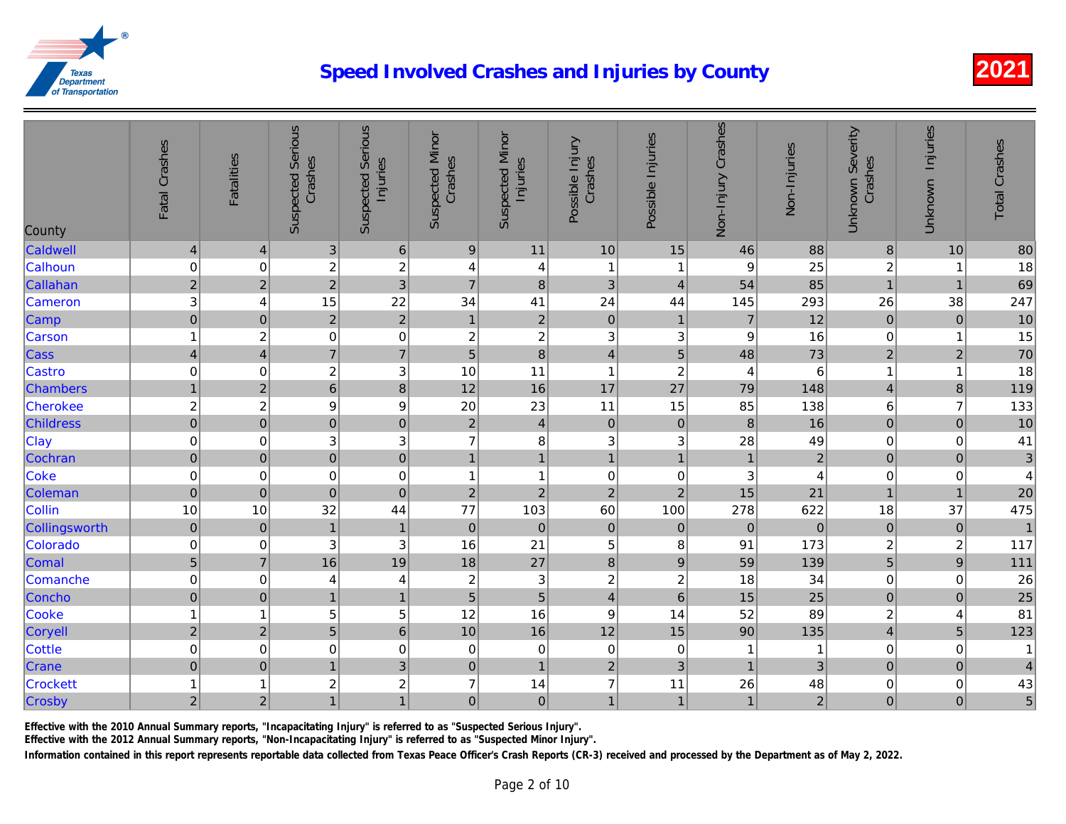| County           | Fatal Crashes  | <b>Fatalities</b> | <b>Suspected Serious</b><br>Crashes | <b>Suspected Serious</b><br>Injuries | <b>Suspected Minor</b><br>Crashes | <b>Suspected Minor</b><br>Injuries | Possible Injury<br>Crashes | Possible Injuries | Non-Injury Crashes | Non-Injuries   |
|------------------|----------------|-------------------|-------------------------------------|--------------------------------------|-----------------------------------|------------------------------------|----------------------------|-------------------|--------------------|----------------|
| Caldwell         | $\overline{4}$ | $\vert 4 \vert$   | 3                                   | $\,6\,$                              | $\boldsymbol{9}$                  | 11                                 | 10                         | 15                | 46                 | 88             |
| Calhoun          | $\mathbf 0$    | $\mathbf 0$       | $\overline{\mathbf{c}}$             | $\overline{c}$                       | 4                                 | 4                                  | $\overline{1}$             | -1                | 9                  | 25             |
| Callahan         | $\overline{c}$ | $\overline{2}$    | $\overline{a}$                      | $\overline{3}$                       | $\overline{7}$                    | $\bf 8$                            | 3                          | $\overline{4}$    | 54                 | 85             |
| Cameron          | 3              | 4                 | 15                                  | 22                                   | 34                                | 41                                 | 24                         | 44                | 145                | 293            |
| Camp             | $\mathbf 0$    | $\overline{0}$    | $\overline{2}$                      | $\overline{2}$                       | $\mathbf{1}$                      | $\overline{2}$                     | $\mathbf 0$                | $\mathbf{1}$      | $\overline{7}$     | 12             |
| Carson           | $\mathbf{1}$   | $\boldsymbol{2}$  | 0                                   | $\mathbf 0$                          | $\overline{c}$                    | $\overline{c}$                     | 3                          | 3                 | $\boldsymbol{9}$   | 16             |
| Cass             | $\overline{4}$ | $\overline{4}$    | $\overline{7}$                      | $\overline{7}$                       | $\overline{5}$                    | $\overline{8}$                     | $\overline{4}$             | 5                 | 48                 | 73             |
| Castro           | $\mathbf 0$    | 0                 | $\overline{\mathbf{c}}$             | 3                                    | 10                                | 11                                 | $\mathbf{1}$               | $\overline{c}$    | $\overline{4}$     | 6              |
| <b>Chambers</b>  | $\mathbf{1}$   | $\overline{2}$    | $\overline{6}$                      | 8                                    | 12                                | 16                                 | 17                         | 27                | 79                 | 148            |
| Cherokee         | $\overline{c}$ | $\boldsymbol{2}$  | 9                                   | 9                                    | 20                                | 23                                 | 11                         | 15                | 85                 | 138            |
| <b>Childress</b> | $\mathbf 0$    | $\overline{0}$    | $\overline{0}$                      | $\mathbf 0$                          | $\sqrt{2}$                        | $\vert 4 \vert$                    | $\mathbf 0$                | $\pmb{0}$         | 8                  | 16             |
| Clay             | $\mathbf 0$    | $\mathbf 0$       | 3                                   | 3                                    | $\overline{7}$                    | 8                                  | 3                          | 3                 | 28                 | 49             |
| Cochran          | $\mathbf 0$    | $\mathbf 0$       | $\overline{0}$                      | $\overline{0}$                       | $\overline{1}$                    | $\overline{1}$                     | $\overline{1}$             | $\overline{1}$    | $\overline{1}$     | $\overline{a}$ |
| Coke             | $\mathbf 0$    | $\mathbf 0$       | 0                                   | $\mathbf 0$                          | 1                                 | $\mathbf{1}$                       | $\mathbf 0$                | 0                 | 3                  | $\overline{4}$ |
| Coleman          | $\mathbf 0$    | $\overline{0}$    | $\mathbf 0$                         | $\mathbf 0$                          | $\mathbf 2$                       | $\mathbf 2$                        | $\mathbf 2$                | $\sqrt{2}$        | 15                 | 21             |
| Collin           | 10             | 10                | 32                                  | 44                                   | 77                                | 103                                | 60                         | 100               | 278                | 622            |
| Collingsworth    | $\pmb{0}$      | $\mathbf 0$       | $\overline{1}$                      | $\mathbf{1}$                         | $\mathbf 0$                       | $\mathbf 0$                        | $\mathbf 0$                | $\mathbf 0$       | $\pmb{0}$          | $\overline{O}$ |
| Colorado         | $\pmb{0}$      | 0                 | 3                                   | 3                                    | 16                                | 21                                 | 5                          | 8                 | 91                 | 173            |
| Comal            | $\sqrt{5}$     | $\overline{7}$    | 16                                  | 19                                   | 18                                | 27                                 | $\boldsymbol{8}$           | $9$               | 59                 | 139            |
| Comanche         | $\mathbf 0$    | 0                 | 4                                   | 4                                    | $\overline{c}$                    | $\ensuremath{\mathsf{3}}$          | $\overline{c}$             | $\overline{c}$    | 18                 | 34             |
| Concho           | $\mathbf 0$    | $\overline{0}$    | $\mathbf{1}$                        | $\overline{1}$                       | 5                                 | $\overline{5}$                     | $\overline{4}$             | $6\phantom{1}$    | 15                 | 25             |
| Cooke            | $\mathbf{1}$   | 1                 | 5                                   | 5                                    | 12                                | 16                                 | $\boldsymbol{9}$           | 14                | 52                 | 89             |
| Coryell          | $\sqrt{2}$     | $\mathbf 2$       | 5                                   | $\overline{6}$                       | 10                                | 16                                 | 12                         | 15                | 90                 | 135            |
| <b>Cottle</b>    | $\mathbf 0$    | 0                 | $\mathbf 0$                         | $\mathbf 0$                          | 0                                 | $\mathbf 0$                        | $\mathbf 0$                | 0                 | 1                  | $\mathbf{1}$   |
| Crane            | $\mathbf 0$    | $\pmb{0}$         | $\mathbf{1}$                        | $\ensuremath{\mathsf{3}}$            | $\pmb{0}$                         | $\mathbf{1}$                       | $\mathbf 2$                | 3                 | $\mathbf{1}$       | 3              |
| <b>Crockett</b>  | $\mathbf 1$    | 1                 | 2                                   | $\overline{c}$                       | $\overline{7}$                    | 14                                 | $\overline{7}$             | 11                | 26                 | 48             |
| Crosby           | $\overline{2}$ | $\overline{2}$    | $\mathbf{1}$                        | $\mathbf{1}$                         | $\mathbf 0$                       | $\overline{0}$                     | $\mathbf{1}$               | $\mathbf{1}$      | $\mathbf{1}$       | $\overline{a}$ |

Effective with the 2010 Annual Summary reports, "Incapacitating Injury" is referred to as "Suspected Serious Injury".

Effective with the 2012 Annual Summary reports, "Non-Incapacitating Injury" is referred to as "Suspected Minor Injury".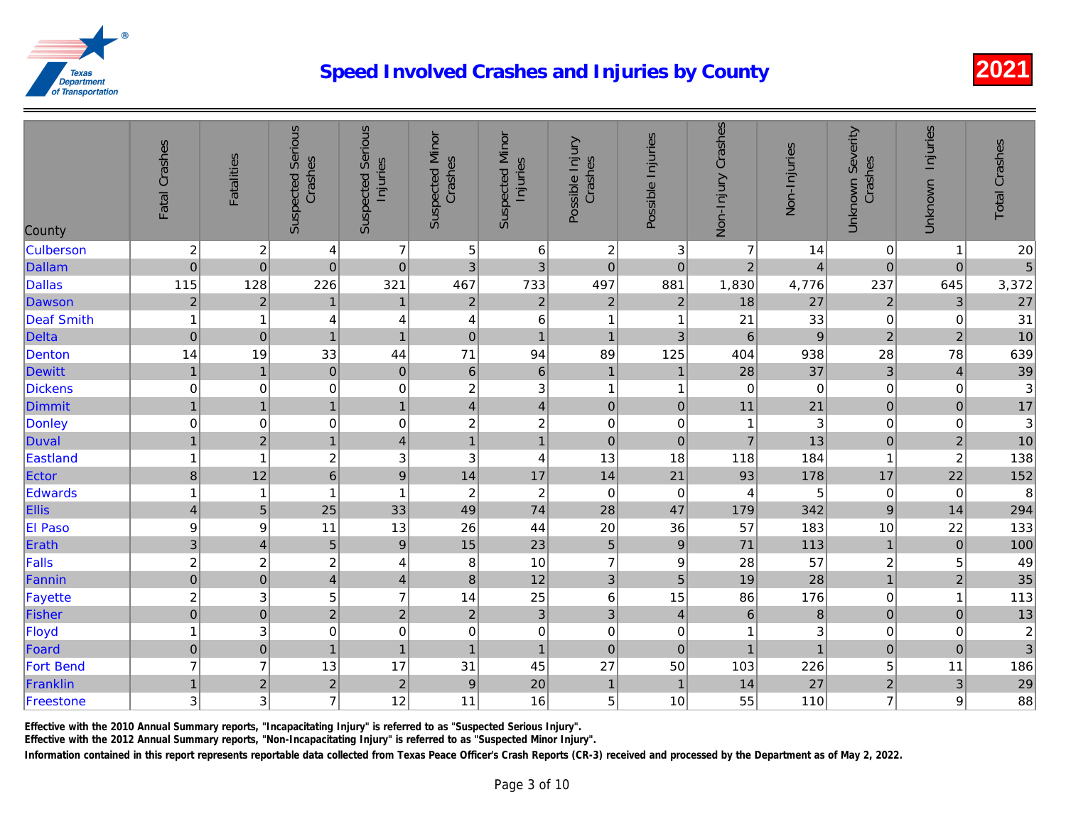| County            | Fatal Crashes            | <b>Fatalities</b>       | <b>Suspected Serious</b><br>Crashes | <b>Suspected Serious</b><br>Injuries | <b>Suspected Minor</b><br>Crashes | <b>Suspected Minor</b><br>Injuries | Possible Injury<br>Crashes | Possible Injuries | Non-Injury Crashes | Non-Injuries    |
|-------------------|--------------------------|-------------------------|-------------------------------------|--------------------------------------|-----------------------------------|------------------------------------|----------------------------|-------------------|--------------------|-----------------|
| <b>Culberson</b>  | $\overline{c}$           | $\overline{c}$          | $\overline{\mathbf{4}}$             | $\overline{7}$                       | 5                                 | $\,6\,$                            | $\overline{c}$             | $\mathbf{3}$      | $\overline{7}$     | 14              |
| <b>Dallam</b>     | $\mathbf 0$              | $\mathbf 0$             | $\mathbf 0$                         | $\mathbf 0$                          | 3                                 | 3                                  | $\overline{0}$             | $\mathbf 0$       | $\overline{2}$     | $\overline{4}$  |
| <b>Dallas</b>     | 115                      | 128                     | 226                                 | 321                                  | 467                               | 733                                | 497                        | 881               | 1,830              | 4,776           |
| Dawson            | $\mathbf 2$              | $\overline{2}$          | $\mathbf{1}$                        | $\mathbf{1}$                         | $\mathbf 2$                       | $\sqrt{2}$                         | $\overline{2}$             | $\overline{2}$    | 18                 | 27              |
| <b>Deaf Smith</b> | $\mathbf{1}$             | 1                       | 4                                   | 4                                    | 4                                 | $\,6$                              | 1                          | -1                | 21                 | 33              |
| Delta             | $\pmb{0}$                | $\pmb{0}$               | $\overline{1}$                      | $\overline{1}$                       | $\pmb{0}$                         | $\overline{1}$                     | $\mathbf{1}$               | 3                 | $6\phantom{1}$     | $\overline{9}$  |
| Denton            | 14                       | 19                      | 33                                  | 44                                   | 71                                | 94                                 | 89                         | 125               | 404                | 938             |
| <b>Dewitt</b>     | $\overline{1}$           | $\overline{1}$          | $\mathbf 0$                         | $\mathbf 0$                          | $6\phantom{1}$                    | $\,$ 6 $\,$                        | $\mathbf{1}$               | $\overline{1}$    | 28                 | 37              |
| <b>Dickens</b>    | $\mathbf 0$              | $\mathbf 0$             | $\mathbf 0$                         | $\mathbf 0$                          | $\overline{\mathbf{c}}$           | $\ensuremath{\mathsf{3}}$          | $\mathbf{1}$               | -1                | $\mathbf 0$        | $\overline{0}$  |
| Dimmit            | $\mathbf{1}$             | $\mathbf{1}$            | $\mathbf{1}$                        | $\mathbf{1}$                         | 4                                 | $\overline{4}$                     | $\pmb{0}$                  | $\pmb{0}$         | 11                 | 21              |
| Donley            | $\mathbf 0$              | 0                       | $\boldsymbol{0}$                    | $\mathbf 0$                          | $\overline{c}$                    | $\overline{\mathbf{c}}$            | $\boldsymbol{0}$           | 0                 | 1                  | $\overline{3}$  |
| Duval             | $\mathbf{1}$             | $\mathbf 2$             | $\overline{1}$                      | $\overline{4}$                       | $\overline{1}$                    | $\overline{1}$                     | $\mathbf 0$                | $\mathbf 0$       | $\overline{7}$     | 13              |
| Eastland          | $\mathbf{1}$             | $\overline{1}$          | $\overline{\mathbf{c}}$             | $\ensuremath{\mathsf{3}}$            | 3                                 | $\overline{\mathbf{4}}$            | 13                         | 18                | 118                | 184             |
| Ector             | $\delta$                 | 12                      | $\overline{6}$                      | $\overline{9}$                       | 14                                | 17                                 | 14                         | 21                | 93                 | 178             |
| Edwards           | $\mathbf{1}$             | $\overline{\mathbf{1}}$ | 1                                   | $\mathbf{1}$                         | $\boldsymbol{2}$                  | $\overline{c}$                     | $\mathbf 0$                | $\pmb{0}$         | 4                  | $5\overline{a}$ |
| Ellis             | $\overline{\mathcal{L}}$ | $\sqrt{5}$              | 25                                  | 33                                   | 49                                | 74                                 | 28                         | 47                | 179                | 342             |
| <b>El Paso</b>    | $\boldsymbol{9}$         | 9                       | 11                                  | 13                                   | 26                                | 44                                 | 20                         | 36                | 57                 | 183             |
| Erath             | $\overline{3}$           | $\overline{4}$          | $\overline{5}$                      | $\overline{9}$                       | 15                                | 23                                 | $\overline{5}$             | $\overline{9}$    | 71                 | 113             |
| Falls             | $\overline{\mathbf{c}}$  | $\boldsymbol{2}$        | $\overline{c}$                      | $\overline{4}$                       | 8                                 | 10                                 | $\overline{7}$             | 9                 | 28                 | 57              |
| Fannin            | $\overline{0}$           | $\pmb{0}$               | $\overline{\mathbf{4}}$             | $\overline{4}$                       | $\bf 8$                           | 12                                 | $\mathbf{3}$               | $\overline{5}$    | 19                 | 28              |
| Fayette           | $\overline{\mathbf{c}}$  | 3                       | 5                                   | $\overline{7}$                       | 14                                | 25                                 | 6                          | 15                | 86                 | 176             |
| Fisher            | $\overline{0}$           | $\overline{0}$          | $\overline{2}$                      | $\overline{2}$                       | $\overline{2}$                    | $\overline{3}$                     | 3                          | $\overline{4}$    | $6\phantom{1}$     | $\bf{8}$        |
| Floyd             | $\mathbf{1}$             | 3                       | $\boldsymbol{0}$                    | $\mathbf 0$                          | 0                                 | $\pmb{0}$                          | $\boldsymbol{0}$           | 0                 | 1                  | $\mathbf{3}$    |
| Foard             | $\mathbf 0$              | $\mathbf 0$             | $\overline{1}$                      | $\mathbf{1}$                         | $\overline{1}$                    | $\overline{1}$                     | $\mathbf 0$                | $\mathbf 0$       | $\overline{1}$     |                 |
| <b>Fort Bend</b>  | $\overline{7}$           | $\overline{7}$          | 13                                  | 17                                   | 31                                | 45                                 | 27                         | 50                | 103                | 226             |
| Franklin          | $\mathbf{1}$             | $\mathbf 2$             | $\overline{2}$                      | $\mathbf 2$                          | $\boldsymbol{9}$                  | 20                                 | $\mathbf{1}$               | $\overline{1}$    | 14                 | 27              |
| Freestone         | 3                        | 3                       | $\overline{7}$                      | 12                                   | 11                                | 16                                 | 5                          | 10                | 55                 | 110             |

Effective with the 2010 Annual Summary reports, "Incapacitating Injury" is referred to as "Suspected Serious Injury".

Effective with the 2012 Annual Summary reports, "Non-Incapacitating Injury" is referred to as "Suspected Minor Injury".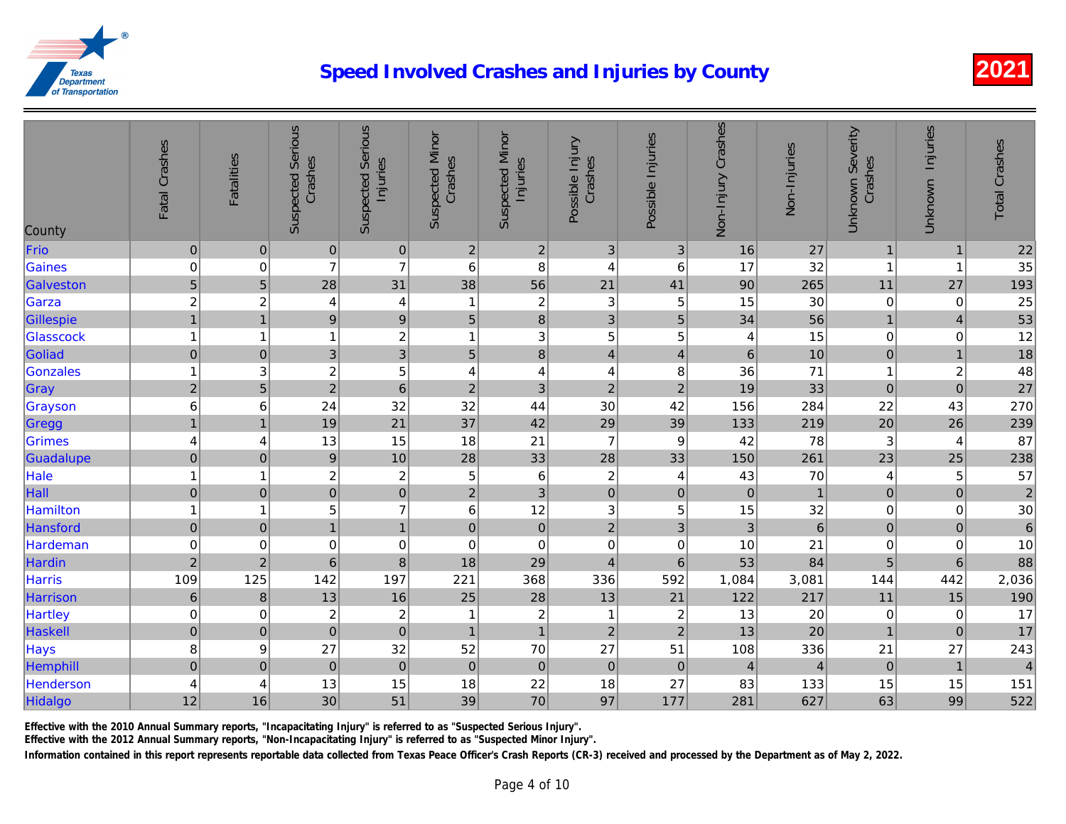|                  | Fatal Crashes    | Fatalities          | <b>Suspected Serious</b><br>Crashes | <b>Suspected Serious</b><br>Injuries | <b>Suspected Minor</b><br>Crashes | <b>Suspected Minor</b><br>Injuries | Possible Injury<br>Crashes | Possible Injuries       | Non-Injury Crashes | Non-Injuries     |
|------------------|------------------|---------------------|-------------------------------------|--------------------------------------|-----------------------------------|------------------------------------|----------------------------|-------------------------|--------------------|------------------|
| County           |                  |                     |                                     |                                      |                                   |                                    |                            |                         |                    |                  |
| Frio             | $\boldsymbol{0}$ | $\pmb{0}$           | $\overline{0}$                      | $\pmb{0}$                            | 2 <sup>1</sup>                    | $\mathbf 2$                        | 3                          | $\mathbf{3}$            | 16                 | 27               |
| <b>Gaines</b>    | $\mathbf 0$      | 0                   | $\overline{7}$                      | $\overline{7}$                       | 6                                 | $\, 8$                             | 4                          | 6                       | 17                 | 32               |
| Galveston        | $\overline{5}$   | 5                   | 28                                  | 31                                   | 38                                | 56                                 | 21                         | 41                      | 90                 | 265              |
| Garza            | $\overline{c}$   | $\overline{c}$      | 4                                   | 4                                    | 1                                 | $\overline{2}$                     | 3                          | 5                       | 15                 | 30               |
| Gillespie        | $\mathbf{1}$     | $\overline{1}$      | $\vert 9 \vert$                     | $\boldsymbol{9}$                     | 5                                 | $\bf 8$                            | $\mathfrak{3}$             | $\sqrt{5}$              | 34                 | 56               |
| Glasscock        | $\overline{1}$   | 1                   | $\mathbf{1}$                        | $\overline{c}$                       | 1                                 | $\ensuremath{\mathsf{3}}$          | 5                          | 5                       | 4                  | 15               |
| Goliad           | $\mathbf 0$      | $\pmb{0}$           | $\overline{3}$                      | $\overline{3}$                       | 5                                 | $\bf{8}$                           | $\overline{4}$             | $\overline{\mathbf{4}}$ | $\,$ 6 $\,$        | 10               |
| <b>Gonzales</b>  | $\overline{1}$   | 3                   | $\boldsymbol{2}$                    | 5                                    | $\overline{4}$                    | $\overline{4}$                     | 4                          | 8                       | 36                 | 71               |
| Gray             | $\overline{c}$   | 5                   | $\overline{2}$                      | $6\phantom{1}6$                      | $\overline{c}$                    | $\mathfrak{S}$                     | $\overline{c}$             | $\mathbf 2$             | 19                 | 33               |
| Grayson          | $6\phantom{a}$   | 6                   | 24                                  | 32                                   | 32                                | 44                                 | 30                         | 42                      | 156                | 284              |
| Gregg            | $\overline{1}$   | $\overline{1}$      | 19                                  | 21                                   | 37                                | 42                                 | 29                         | 39                      | 133                | 219              |
| Grimes           | $\overline{4}$   | 4                   | 13                                  | 15                                   | 18                                | 21                                 | $\overline{7}$             | 9                       | 42                 | 78               |
| Guadalupe        | $\pmb{0}$        | $\mathbf{0}$        | $\boldsymbol{9}$                    | 10                                   | 28                                | 33                                 | 28                         | 33                      | 150                | 261              |
| Hale             | $\overline{1}$   | 1                   | $\overline{c}$                      | $\overline{c}$                       | 5                                 | $\,6\,$                            | $\overline{c}$             | 4                       | 43                 | 70               |
| Hall             | $\pmb{0}$        | $\pmb{0}$           | $\overline{0}$                      | $\mathbf 0$                          | $\overline{c}$                    | $\mathfrak{S}$                     | $\mathbf 0$                | $\pmb{0}$               | $\pmb{0}$          | $\mathbf{1}$     |
| <b>Hamilton</b>  | $\mathbf{1}$     | 1                   | 5                                   | $\overline{7}$                       | 6                                 | 12                                 | 3                          | $\mathbf 5$             | 15                 | 32               |
| Hansford         | $\mathbf 0$      | $\pmb{0}$           | 1                                   | $\overline{1}$                       | $\pmb{0}$                         | $\overline{0}$                     | $\overline{2}$             | $\mathbf{3}$            | $\mathbf{3}$       | $6 \overline{6}$ |
| Hardeman         | $\pmb{0}$        | 0                   | $\boldsymbol{0}$                    | $\boldsymbol{0}$                     | $\mathbf 0$                       | $\mathbf 0$                        | $\mathbf 0$                | $\mathbf 0$             | 10                 | 21               |
| Hardin           | $\mathbf 2$      | $\overline{2}$      | $6\phantom{1}$                      | 8                                    | 18                                | 29                                 | $\overline{4}$             | $6\phantom{1}$          | 53                 | 84               |
| <b>Harris</b>    | 109              | 125                 | 142                                 | 197                                  | 221                               | 368                                | 336                        | 592                     | 1,084              | 3,081            |
| Harrison         | $\,6\,$          | $\,8\,$             | 13                                  | 16                                   | 25                                | 28                                 | 13                         | 21                      | 122                | 217              |
| <b>Hartley</b>   | $\pmb{0}$        | 0                   | $\overline{c}$                      | $\overline{\mathbf{c}}$              | 1                                 | $\boldsymbol{2}$                   | 1                          | $\boldsymbol{2}$        | 13                 | 20               |
| Haskell          | $\mathbf 0$      | $\mathsf{O}\xspace$ | $\overline{0}$                      | $\mathbf 0$                          | $\overline{1}$                    | $\mathbf{1}$                       | $\overline{2}$             | $\overline{2}$          | 13                 | 20               |
| Hays             | 8                | 9                   | 27                                  | 32                                   | 52                                | 70                                 | 27                         | 51                      | 108                | 336              |
| Hemphill         | $\overline{0}$   | $\mathbf 0$         | $\mathbf 0$                         | $\mathbf 0$                          | $\pmb{0}$                         | $\pmb{0}$                          | $\mathbf 0$                | $\pmb{0}$               | $\overline{4}$     | $\overline{4}$   |
| <b>Henderson</b> | 4                | 4                   | 13                                  | 15                                   | 18                                | 22                                 | 18                         | 27                      | 83                 | 133              |
| Hidalgo          | 12               | 16                  | 30                                  | 51                                   | 39                                | 70                                 | 97                         | 177                     | 281                | 627              |
|                  |                  |                     |                                     |                                      |                                   |                                    |                            |                         |                    |                  |

Effective with the 2010 Annual Summary reports, "Incapacitating Injury" is referred to as "Suspected Serious Injury".

Effective with the 2012 Annual Summary reports, "Non-Incapacitating Injury" is referred to as "Suspected Minor Injury".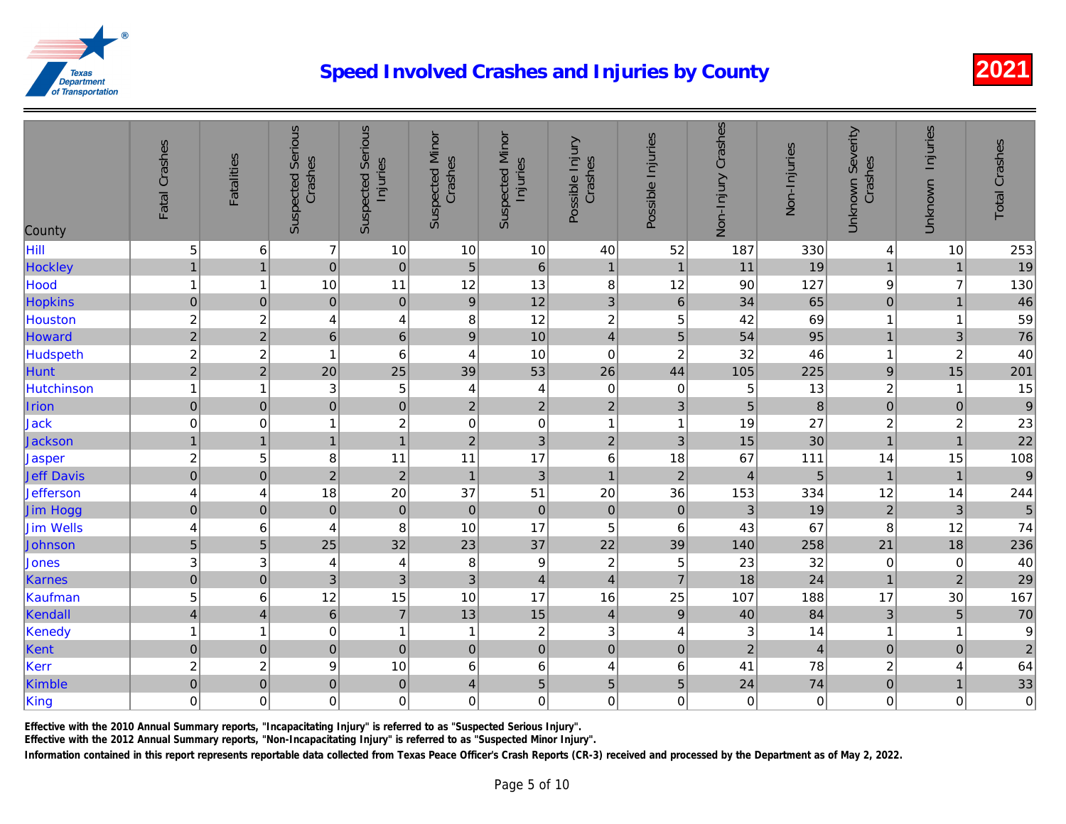| County            | Fatal Crashes           | <b>Fatalities</b>       | <b>Suspected Serious</b><br>Crashes | <b>Serious</b><br>Injuries<br>Suspected | <b>Suspected Minor</b><br>Crashes | <b>Suspected Minor</b><br>Injuries | Possible Injury<br>Crashes | Possible Injuries | Non-Injury Crashes        | Non-Injuries   |
|-------------------|-------------------------|-------------------------|-------------------------------------|-----------------------------------------|-----------------------------------|------------------------------------|----------------------------|-------------------|---------------------------|----------------|
| Hill              | 5                       | $\,6\,$                 | $\overline{7}$                      | 10                                      | 10                                | 10                                 | 40                         | 52                | 187                       | 330            |
| Hockley           | $\mathbf{1}$            | $\overline{1}$          | $\overline{0}$                      | $\mathbf 0$                             | $\overline{5}$                    | $\,6\,$                            | $\mathbf{1}$               | $\mathbf{1}$      | 11                        | 19             |
| <b>Hood</b>       | $\overline{1}$          | 1                       | 10                                  | 11                                      | 12                                | 13                                 | 8                          | 12                | 90                        | 127            |
| <b>Hopkins</b>    | $\boldsymbol{0}$        | $\mathbf 0$             | $\overline{0}$                      | $\pmb{0}$                               | $\boldsymbol{9}$                  | 12                                 | 3                          | $\,6\,$           | 34                        | 65             |
| <b>Houston</b>    | $\overline{\mathbf{c}}$ | $\overline{\mathbf{c}}$ | 4                                   | $\overline{\mathbf{4}}$                 | 8                                 | 12                                 | $\overline{c}$             | 5                 | 42                        | 69             |
| Howard            | $\overline{2}$          | $\overline{2}$          | 6 <sup>1</sup>                      | $6\phantom{1}$                          | $\mathsf g$                       | 10                                 | $\overline{4}$             | $\overline{5}$    | 54                        | 95             |
| <b>Hudspeth</b>   | $\overline{2}$          | $\overline{c}$          | $\overline{1}$                      | $6\phantom{1}6$                         | $\overline{4}$                    | 10                                 | $\mathbf 0$                | $\overline{c}$    | 32                        | 46             |
| <b>Hunt</b>       | $\overline{2}$          | $\overline{2}$          | 20                                  | 25                                      | 39                                | 53                                 | 26                         | 44                | 105                       | 225            |
| <b>Hutchinson</b> | $\overline{1}$          | 1                       | 3                                   | 5                                       | 4                                 | $\overline{\mathbf{4}}$            | $\mathbf 0$                | $\mathbf 0$       | 5                         | 13             |
| Irion             | $\pmb{0}$               | $\pmb{0}$               | $\overline{0}$                      | $\mathbf 0$                             | $\overline{c}$                    | $\sqrt{2}$                         | $\overline{2}$             | $\mathbf{3}$      | 5                         | $\bf{8}$       |
| Jack              | $\pmb{0}$               | 0                       | $\mathbf{1}$                        | $\overline{c}$                          | $\mathbf 0$                       | $\mathbf 0$                        | $\mathbf{1}$               | $\mathbf{1}$      | 19                        | 27             |
| <b>Jackson</b>    | $\overline{1}$          | $\overline{1}$          | 1                                   | $\overline{1}$                          | 2 <sup>1</sup>                    | $\overline{3}$                     | $\overline{2}$             | $\mathbf{3}$      | 15                        | 30             |
| Jasper            | $\overline{c}$          | 5                       | 8                                   | 11                                      | 11                                | 17                                 | $6\phantom{1}6$            | 18                | 67                        | 111            |
| <b>Jeff Davis</b> | $\overline{0}$          | $\pmb{0}$               | $\overline{2}$                      | $\overline{2}$                          | $\overline{1}$                    | $\overline{3}$                     | $\mathbf{1}$               | $\overline{2}$    | $\overline{4}$            | 5              |
| <b>Jefferson</b>  | $\overline{\mathbf{4}}$ | 4                       | 18                                  | 20                                      | 37                                | 51                                 | 20                         | 36                | 153                       | 334            |
| Jim Hogg          | $\mathbf 0$             | $\mathsf{O}\xspace$     | $\overline{0}$                      | $\mathbf 0$                             | $\pmb{0}$                         | $\pmb{0}$                          | $\pmb{0}$                  | $\pmb{0}$         | $\mathfrak{3}$            | 19             |
| <b>Jim Wells</b>  | 4                       | 6                       | 4                                   | 8                                       | 10                                | 17                                 | 5                          | 6                 | 43                        | 67             |
| Johnson           | 5                       | 5                       | 25                                  | 32                                      | 23                                | 37                                 | 22                         | 39                | 140                       | 258            |
| <b>Jones</b>      | $\mathbf{3}$            | 3                       | 4                                   | 4                                       | 8                                 | $\boldsymbol{9}$                   | $\overline{c}$             | 5                 | 23                        | 32             |
| Karnes            | $\mathbf 0$             | $\pmb{0}$               | $\overline{3}$                      | 3                                       | 3                                 | $\overline{4}$                     | $\overline{4}$             | $\overline{7}$    | 18                        | 24             |
| Kaufman           | 5                       | 6                       | 12                                  | 15                                      | 10                                | 17                                 | 16                         | 25                | 107                       | 188            |
| Kendall           | $\overline{4}$          | $\overline{4}$          | 6 <sup>1</sup>                      | $\overline{7}$                          | 13                                | 15                                 | $\overline{4}$             | $9\,$             | 40                        | 84             |
| Kenedy            | $\overline{1}$          | 1                       | $\mathbf 0$                         | $\mathbf{1}$                            | 1                                 | $\boldsymbol{2}$                   | 3                          | 4                 | $\ensuremath{\mathsf{3}}$ | 14             |
| Kent              | $\pmb{0}$               | $\mathbf 0$             | $\overline{0}$                      | $\mathbf 0$                             | $\pmb{0}$                         | $\overline{0}$                     | $\pmb{0}$                  | $\pmb{0}$         | $\mathbf 2$               | $\overline{4}$ |
| Kerr              | $\overline{c}$          | $\overline{c}$          | 9                                   | 10                                      | 6                                 | $\,6\,$                            | 4                          | 6                 | 41                        | 78             |
| Kimble            | $\overline{0}$          | $\pmb{0}$               | $\overline{0}$                      | $\mathbf 0$                             | $\overline{\mathbf{4}}$           | $\overline{5}$                     | 5                          | 5                 | 24                        | 74             |
| King              | $\mathbf 0$             | 0                       | 0                                   | $\mathbf 0$                             | 0                                 | $\mathbf 0$                        | $\mathbf 0$                | 0                 | 0                         | $\overline{0}$ |

Effective with the 2010 Annual Summary reports, "Incapacitating Injury" is referred to as "Suspected Serious Injury".

Effective with the 2012 Annual Summary reports, "Non-Incapacitating Injury" is referred to as "Suspected Minor Injury".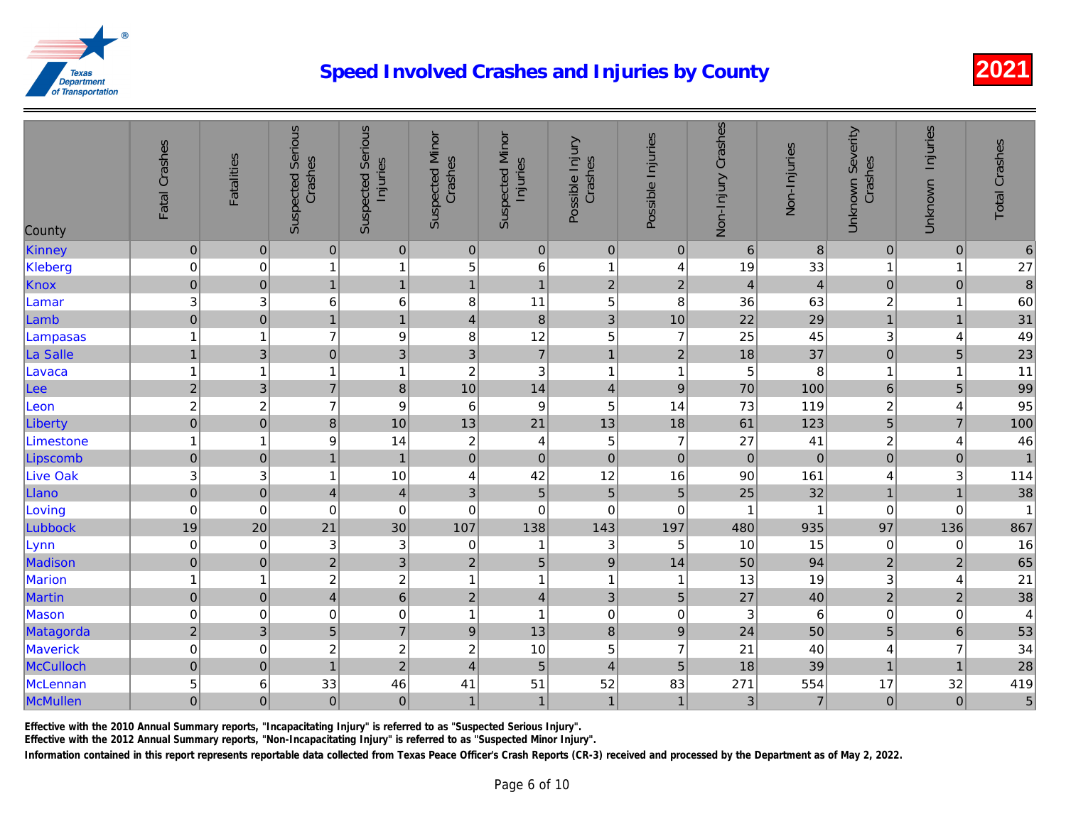| County          | Fatal Crashes    | <b>Fatalities</b> | <b>Suspected Serious</b><br>Crashes | <b>Suspected Serious</b><br>Injuries | <b>Suspected Minor</b><br>Crashes | <b>Suspected Minor</b><br>Injuries | Possible Injury<br>Crashes | Possible Injuries       | Non-Injury Crashes | Non-Injuries     |
|-----------------|------------------|-------------------|-------------------------------------|--------------------------------------|-----------------------------------|------------------------------------|----------------------------|-------------------------|--------------------|------------------|
| Kinney          | $\mathbf 0$      | $\overline{0}$    | $\pmb{0}$                           | $\mathbf 0$                          | $\pmb{0}$                         | $\mathbf 0$                        | $\pmb{0}$                  | $\pmb{0}$               | $\,6\,$            | $\boldsymbol{8}$ |
| Kleberg         | $\mathbf 0$      | $\mathbf 0$       | 1                                   | $\mathbf{1}$                         | 5                                 | 6                                  | $\overline{1}$             | 4                       | 19                 | 33               |
| Knox            | $\mathbf 0$      | $\pmb{0}$         | $\mathbf{1}$                        | $\mathbf{1}$                         | $\mathbf{1}$                      | $\overline{1}$                     | $\overline{2}$             | $\overline{c}$          | $\overline{4}$     | $\overline{a}$   |
| Lamar           | 3                | 3                 | 6                                   | 6                                    | 8                                 | 11                                 | 5                          | 8                       | 36                 | 63               |
| Lamb            | $\mathbf 0$      | $\mathbf 0$       | $\mathbf{1}$                        | $\mathbf{1}$                         | $\overline{4}$                    | $\, 8$                             | 3                          | 10                      | 22                 | 29               |
| Lampasas        | $\mathbf{1}$     | 1                 | $\overline{7}$                      | 9                                    | 8                                 | 12                                 | 5                          | $\overline{7}$          | 25                 | 45               |
| La Salle        | $\mathbf{1}$     | $\mathfrak{B}$    | $\overline{0}$                      | $\overline{3}$                       | $\mathbf{3}$                      | $\overline{7}$                     | $\overline{1}$             | $\overline{2}$          | 18                 | 37               |
| Lavaca          | $\mathbf{1}$     | 1                 | $\mathbf{1}$                        | $\mathbf{1}$                         | $\overline{c}$                    | $\ensuremath{\mathsf{3}}$          | $\overline{1}$             | $\overline{1}$          | 5                  | 8                |
| Lee             | $\sqrt{2}$       | 3                 | $\overline{7}$                      | 8                                    | 10                                | 14                                 | $\overline{4}$             | $\boldsymbol{9}$        | 70                 | 100              |
| Leon            | $\overline{c}$   | $\boldsymbol{2}$  | $\overline{7}$                      | 9                                    | 6                                 | 9                                  | 5                          | 14                      | 73                 | 119              |
| Liberty         | $\overline{0}$   | $\overline{0}$    | 8                                   | 10                                   | 13                                | 21                                 | 13                         | 18                      | 61                 | 123              |
| Limestone       | $\mathbf{1}$     | $\overline{1}$    | 9                                   | 14                                   | $\overline{c}$                    | $\overline{4}$                     | 5                          | $\overline{7}$          | 27                 | 41               |
| Lipscomb        | $\boldsymbol{0}$ | $\pmb{0}$         | $\mathbf{1}$                        | $\mathbf{1}$                         | $\pmb{0}$                         | $\overline{0}$                     | $\mathbf 0$                | $\pmb{0}$               | $\pmb{0}$          | $\overline{O}$   |
| <b>Live Oak</b> | 3                | 3                 | $\mathbf{1}$                        | 10                                   | 4                                 | 42                                 | 12                         | 16                      | 90                 | 161              |
| Llano           | $\pmb{0}$        | $\pmb{0}$         | $\overline{4}$                      | $\overline{\mathcal{A}}$             | $\sqrt{3}$                        | $\overline{5}$                     | $\overline{5}$             | $\overline{5}$          | 25                 | 32               |
| Loving          | $\mathbf 0$      | $\mathbf 0$       | 0                                   | $\mathbf 0$                          | $\mathbf 0$                       | 0                                  | $\mathbf 0$                | 0                       | 1                  | $\mathbf{1}$     |
| Lubbock         | 19               | 20                | 21                                  | 30                                   | 107                               | 138                                | 143                        | 197                     | 480                | 935              |
| Lynn            | $\boldsymbol{0}$ | $\mathbf 0$       | 3                                   | 3                                    | $\mathbf 0$                       | $\mathbf{1}$                       | 3                          | 5                       | 10                 | 15               |
| Madison         | $\mathbf 0$      | $\mathbf{0}$      | $\overline{2}$                      | $\overline{3}$                       | $\overline{2}$                    | $\overline{5}$                     | $\overline{9}$             | 14                      | 50                 | 94               |
| Marion          | $\mathbf{1}$     | 1                 | $\overline{c}$                      | $\overline{c}$                       | $\overline{1}$                    | $\mathbf{1}$                       | $\mathbf 1$                | $\overline{\mathbf{1}}$ | 13                 | 19               |
| Martin          | $\mathbf 0$      | $\pmb{0}$         | $\overline{4}$                      | $\,$ 6 $\,$                          | $\mathbf 2$                       | $\vert 4 \vert$                    | 3                          | $\overline{5}$          | 27                 | 40               |
| Mason           | $\pmb{0}$        | 0                 | 0                                   | $\mathbf 0$                          | 1                                 | $\mathbf{1}$                       | $\pmb{0}$                  | 0                       | 3                  | $6\phantom{.}6$  |
| Matagorda       | $\overline{c}$   | 3                 | 5                                   | $\overline{7}$                       | $\boldsymbol{9}$                  | 13                                 | 8                          | $\mathsf g$             | 24                 | 50               |
| <b>Maverick</b> | $\mathbf 0$      | $\Omega$          | $\overline{c}$                      | $\overline{2}$                       | $\overline{c}$                    | 10                                 | 5                          | $\overline{7}$          | 21                 | 40               |
| McCulloch       | $\pmb{0}$        | $\pmb{0}$         | $\overline{1}$                      | $\overline{2}$                       | $\overline{4}$                    | $\overline{5}$                     | $\overline{4}$             | 5                       | 18                 | 39               |
| McLennan        | 5                | 6                 | 33                                  | 46                                   | 41                                | 51                                 | 52                         | 83                      | 271                | 554              |
| McMullen        | $\pmb{0}$        | $\overline{0}$    | $\overline{0}$                      | $\mathbf 0$                          | $\mathbf{1}$                      | 1                                  | $\mathbf{1}$               | $\mathbf{1}$            | 3                  | $\overline{7}$   |

Effective with the 2010 Annual Summary reports, "Incapacitating Injury" is referred to as "Suspected Serious Injury".

Effective with the 2012 Annual Summary reports, "Non-Incapacitating Injury" is referred to as "Suspected Minor Injury".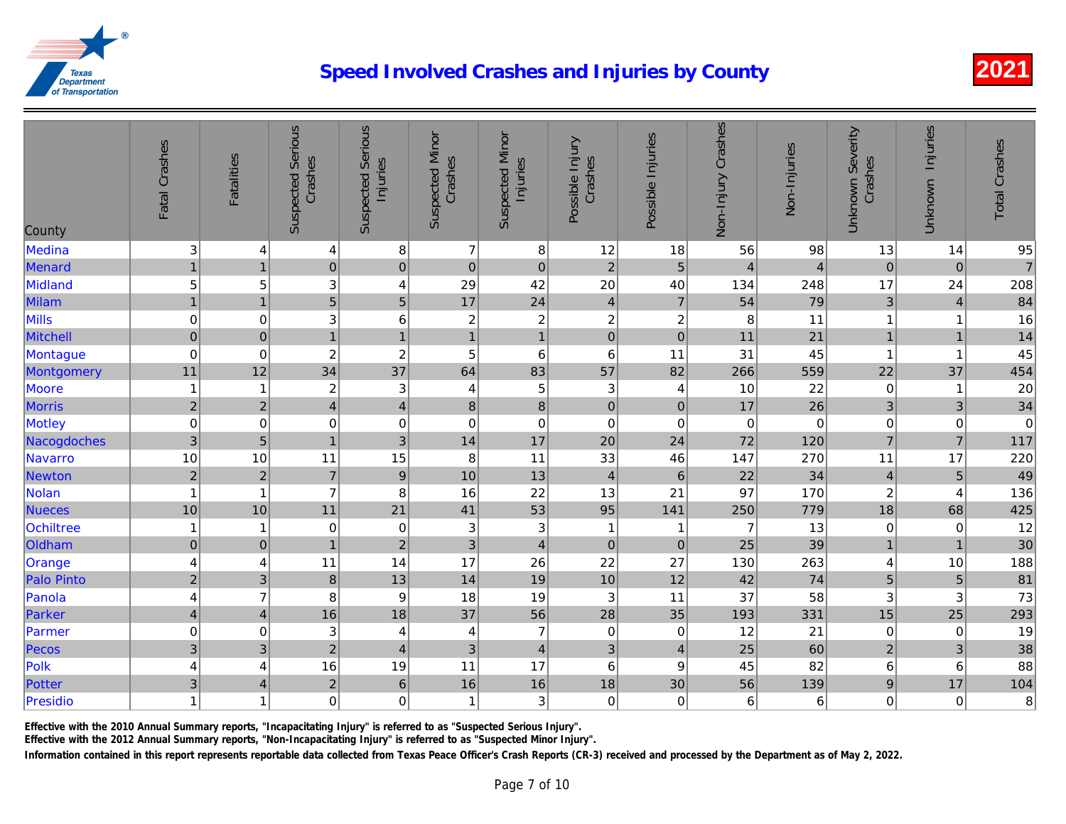| County            | Fatal Crashes             | <b>Fatalities</b>       | <b>Suspected Serious</b><br>Crashes | <b>Serious</b><br>Injuries<br>Suspected | <b>Suspected Minor</b><br>Crashes | <b>Suspected Minor</b><br>Injuries | Possible Injury<br>Crashes | Possible Injuries | Non-Injury Crashes | Non-Injuries   |
|-------------------|---------------------------|-------------------------|-------------------------------------|-----------------------------------------|-----------------------------------|------------------------------------|----------------------------|-------------------|--------------------|----------------|
| Medina            | $\ensuremath{\mathsf{3}}$ | 4                       | $\overline{\mathbf{4}}$             | $\bf 8$                                 | $\overline{7}$                    | $\,8\,$                            | 12                         | 18                | 56                 | 98             |
| Menard            | $\mathbf{1}$              | $\overline{1}$          | $\overline{0}$                      | $\overline{0}$                          | $\pmb{0}$                         | $\mathbf 0$                        | $\overline{c}$             | $\overline{5}$    | $\overline{4}$     | $\overline{4}$ |
| Midland           | $\overline{5}$            | 5                       | 3                                   | $\overline{\mathbf{4}}$                 | 29                                | 42                                 | 20                         | 40                | 134                | 248            |
| Milam             | $\overline{1}$            | $\overline{1}$          | $\overline{5}$                      | 5                                       | 17                                | 24                                 | $\overline{4}$             | $\overline{7}$    | 54                 | 79             |
| Mills             | $\pmb{0}$                 | 0                       | 3                                   | $\,$ 6 $\,$                             | $\overline{\mathbf{c}}$           | $\sqrt{2}$                         | $\overline{c}$             | $\boldsymbol{2}$  | 8                  | 11             |
| Mitchell          | $\boldsymbol{0}$          | $\mathsf{O}\xspace$     | $\overline{1}$                      | $\mathbf{1}$                            | $\overline{1}$                    | $\overline{1}$                     | $\mathbf 0$                | $\pmb{0}$         | 11                 | 21             |
| Montague          | $\boldsymbol{0}$          | $\mathbf 0$             | $\boldsymbol{2}$                    | $\overline{c}$                          | 5                                 | $\,6\,$                            | $6\phantom{1}6$            | 11                | 31                 | 45             |
| Montgomery        | 11                        | 12                      | 34                                  | 37                                      | 64                                | 83                                 | 57                         | 82                | 266                | 559            |
| Moore             | $\overline{1}$            | 1                       | $\overline{c}$                      | 3                                       | 4                                 | $\sqrt{5}$                         | 3                          | 4                 | 10                 | 22             |
| <b>Morris</b>     | $\sqrt{2}$                | $\sqrt{2}$              | $\vert 4 \vert$                     | $\overline{\mathbf{4}}$                 | $\bf8$                            | $\bf{8}$                           | $\pmb{0}$                  | $\pmb{0}$         | 17                 | 26             |
| Motley            | $\pmb{0}$                 | 0                       | $\mathbf 0$                         | $\mathbf 0$                             | $\mathbf 0$                       | $\pmb{0}$                          | $\mathbf 0$                | $\mathbf 0$       | $\pmb{0}$          | $\overline{0}$ |
| Nacogdoches       | $\overline{3}$            | 5                       | $\overline{1}$                      | 3                                       | 14                                | 17                                 | 20                         | 24                | 72                 | 120            |
| <b>Navarro</b>    | 10                        | 10                      | 11                                  | 15                                      | 8                                 | 11                                 | 33                         | 46                | 147                | 270            |
| Newton            | $\overline{c}$            | $\overline{c}$          | $\overline{7}$                      | 9                                       | 10                                | 13                                 | $\overline{4}$             | $6\phantom{1}6$   | 22                 | 34             |
| <b>Nolan</b>      | $\overline{1}$            | 1                       | $\overline{7}$                      | 8                                       | 16                                | 22                                 | 13                         | 21                | 97                 | 170            |
| <b>Nueces</b>     | 10                        | 10                      | 11                                  | 21                                      | 41                                | 53                                 | 95                         | 141               | 250                | 779            |
| Ochiltree         | $\mathbf 1$               | 1                       | 0                                   | $\mathbf 0$                             | 3                                 | $\sqrt{3}$                         | $\mathbf{1}$               | -1                | 7                  | 13             |
| Oldham            | $\mathbf 0$               | $\pmb{0}$               | $\overline{1}$                      | $\overline{c}$                          | 3                                 | $\overline{4}$                     | $\pmb{0}$                  | $\pmb{0}$         | 25                 | 39             |
| Orange            | $\overline{4}$            | 4                       | 11                                  | 14                                      | 17                                | 26                                 | 22                         | 27                | 130                | 263            |
| <b>Palo Pinto</b> | $\overline{c}$            | 3                       | $\bf 8$                             | 13                                      | 14                                | 19                                 | 10                         | 12                | 42                 | 74             |
| Panola            | 4                         | 7                       | 8                                   | 9                                       | 18                                | 19                                 | 3                          | 11                | 37                 | 58             |
| Parker            | $\overline{\mathbf{4}}$   | $\overline{4}$          | 16                                  | 18                                      | 37                                | 56                                 | 28                         | 35                | 193                | 331            |
| Parmer            | $\pmb{0}$                 | 0                       | $\ensuremath{\mathsf{3}}$           | 4                                       | 4                                 | $\overline{7}$                     | $\mathbf 0$                | 0                 | 12                 | 21             |
| Pecos             | $\mathfrak{S}$            | 3                       | $\overline{2}$                      | $\overline{\mathcal{L}}$                | 3                                 | $\overline{4}$                     | 3                          | $\overline{4}$    | 25                 | 60             |
| Polk              | 4                         | 4                       | 16                                  | 19                                      | 11                                | 17                                 | $6\phantom{1}6$            | 9                 | 45                 | 82             |
| Potter            | $\mathbf{3}$              | $\overline{\mathbf{4}}$ | $\overline{2}$                      | $\,$ 6 $\,$                             | 16                                | 16                                 | 18                         | 30                | 56                 | 139            |
| Presidio          | $\overline{1}$            | 1                       | 0                                   | $\mathbf 0$                             | 1                                 | $\ensuremath{\mathsf{3}}$          | $\mathbf 0$                | 0                 | 6                  | 6              |

Effective with the 2010 Annual Summary reports, "Incapacitating Injury" is referred to as "Suspected Serious Injury".

Effective with the 2012 Annual Summary reports, "Non-Incapacitating Injury" is referred to as "Suspected Minor Injury".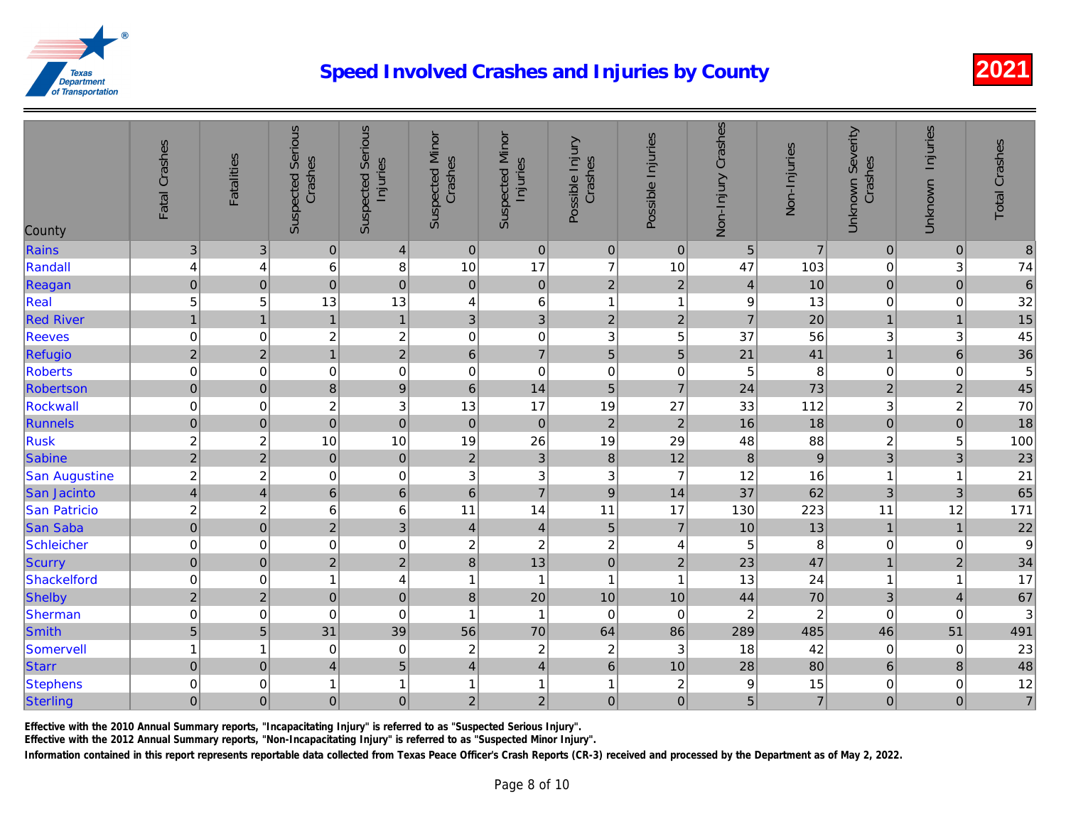| County              | Fatal Crashes            | <b>Fatalities</b>       | <b>Suspected Serious</b><br>Crashes | <b>Suspected Serious</b><br>Injuries | <b>Suspected Minor</b><br>Crashes | <b>Suspected Minor</b><br>Injuries | Possible Injury<br>Crashes | Possible Injuries | Non-Injury Crashes | Non-Injuries   |
|---------------------|--------------------------|-------------------------|-------------------------------------|--------------------------------------|-----------------------------------|------------------------------------|----------------------------|-------------------|--------------------|----------------|
| Rains               | 3                        | 3                       | $\overline{0}$                      | $\overline{\mathbf{4}}$              | $\pmb{0}$                         | $\pmb{0}$                          | $\mathbf 0$                | $\pmb{0}$         | $\sqrt{5}$         | $\overline{7}$ |
| Randall             | 4                        | 4                       | 6                                   | 8                                    | 10                                | 17                                 | $\overline{7}$             | 10                | 47                 | 103            |
| Reagan              | $\mathbf 0$              | $\pmb{0}$               | $\overline{0}$                      | $\mathbf 0$                          | $\pmb{0}$                         | $\overline{0}$                     | $\overline{c}$             | $\mathbf 2$       | $\overline{4}$     | 10             |
| Real                | 5                        | 5                       | 13                                  | 13                                   | $\overline{4}$                    | $\,6$                              | $\overline{1}$             | 1                 | $\boldsymbol{9}$   | 13             |
| <b>Red River</b>    | $\mathbf{1}$             | $\mathbf{1}$            | 1                                   | $\overline{1}$                       | 3                                 | $\overline{3}$                     | $\sqrt{2}$                 | $\overline{2}$    | $\overline{7}$     | 20             |
| Reeves              | $\pmb{0}$                | 0                       | $\overline{c}$                      | $\overline{c}$                       | 0                                 | $\pmb{0}$                          | 3                          | 5                 | 37                 | 56             |
| <b>Refugio</b>      | $\overline{c}$           | $\overline{2}$          | $\overline{1}$                      | $\overline{2}$                       | $6\phantom{1}$                    | $\overline{7}$                     | 5                          | 5                 | 21                 | 41             |
| <b>Roberts</b>      | $\pmb{0}$                | 0                       | $\boldsymbol{0}$                    | $\mathbf 0$                          | 0                                 | $\mathbf 0$                        | $\mathbf 0$                | $\mathbf 0$       | 5                  | 8              |
| Robertson           | $\boldsymbol{0}$         | $\pmb{0}$               | 8                                   | $\boldsymbol{9}$                     | $6\phantom{1}$                    | 14                                 | 5                          | $\overline{7}$    | 24                 | 73             |
| <b>Rockwall</b>     | $\pmb{0}$                | 0                       | $\overline{c}$                      | 3                                    | 13                                | 17                                 | 19                         | 27                | 33                 | 112            |
| Runnels             | $\pmb{0}$                | $\mathbf 0$             | $\overline{0}$                      | $\mathbf{0}$                         | $\pmb{0}$                         | $\overline{0}$                     | $\overline{2}$             | $\overline{2}$    | 16                 | 18             |
| <b>Rusk</b>         | $\overline{c}$           | $\overline{\mathbf{c}}$ | 10                                  | 10                                   | 19                                | 26                                 | 19                         | 29                | 48                 | 88             |
| <b>Sabine</b>       | $\overline{2}$           | $\overline{c}$          | $\overline{0}$                      | $\mathbf 0$                          | $\sqrt{2}$                        | $\overline{3}$                     | 8                          | 12                | $\bf 8$            | 9              |
| San Augustine       | $\overline{c}$           | $\overline{c}$          | 0                                   | $\boldsymbol{0}$                     | 3                                 | $\sqrt{3}$                         | 3                          | $\overline{7}$    | 12                 | 16             |
| San Jacinto         | $\overline{\mathcal{L}}$ | $\overline{\mathbf{4}}$ | 6 <sup>1</sup>                      | $\,$ 6 $\,$                          | $\,6\,$                           | $\overline{7}$                     | $\overline{9}$             | 14                | 37                 | 62             |
| <b>San Patricio</b> | $\overline{c}$           | $\overline{c}$          | 6                                   | $\,6$                                | 11                                | 14                                 | 11                         | 17                | 130                | 223            |
| San Saba            | $\mathbf 0$              | $\pmb{0}$               | $\overline{2}$                      | $\overline{3}$                       | $\overline{4}$                    | $\overline{4}$                     | 5                          | $\overline{7}$    | 10                 | 13             |
| <b>Schleicher</b>   | $\pmb{0}$                | 0                       | $\mathbf 0$                         | $\mathbf 0$                          | $\overline{c}$                    | $\overline{c}$                     | $\overline{c}$             | 4                 | 5                  | 8              |
| Scurry              | $\mathbf 0$              | $\mathbf{0}$            | $\overline{2}$                      | $\overline{2}$                       | 8                                 | 13                                 | $\overline{0}$             | $\overline{2}$    | 23                 | 47             |
| Shackelford         | $\pmb{0}$                | 0                       | $\mathbf{1}$                        | $\overline{\mathbf{4}}$              | 1                                 | $\overline{1}$                     | $\mathbf{1}$               | 1                 | 13                 | 24             |
| Shelby              | $\sqrt{2}$               | $\overline{2}$          | $\overline{0}$                      | $\mathbf 0$                          | 8                                 | 20                                 | 10                         | 10                | 44                 | 70             |
| Sherman             | $\pmb{0}$                | 0                       | $\mathbf 0$                         | $\boldsymbol{0}$                     | 1                                 | $\mathbf{1}$                       | $\mathbf 0$                | $\mathbf 0$       | $\boldsymbol{2}$   | $\overline{a}$ |
| <b>Smith</b>        | $\overline{5}$           | 5                       | 31                                  | 39                                   | 56                                | 70                                 | 64                         | 86                | 289                | 485            |
| <b>Somervell</b>    | $\overline{1}$           | 1                       | $\mathbf 0$                         | $\mathbf 0$                          | $\overline{c}$                    | $\sqrt{2}$                         | $\overline{c}$             | 3                 | 18                 | 42             |
| <b>Starr</b>        | $\pmb{0}$                | $\pmb{0}$               | $\vert 4 \vert$                     | $\sqrt{5}$                           | $\overline{4}$                    | $\overline{4}$                     | $6\phantom{1}6$            | 10                | 28                 | 80             |
| <b>Stephens</b>     | $\boldsymbol{0}$         | 0                       | $\mathbf{1}$                        | $\overline{1}$                       | 1                                 | $\mathbf{1}$                       | 1                          | $\boldsymbol{2}$  | 9                  | 15             |
| Sterling            | $\overline{0}$           | $\mathsf{O}\xspace$     | $\overline{0}$                      | $\mathbf 0$                          | $\overline{c}$                    | $\overline{2}$                     | $\mathbf 0$                | $\mathbf 0$       | 5                  | $\overline{7}$ |

Effective with the 2010 Annual Summary reports, "Incapacitating Injury" is referred to as "Suspected Serious Injury".

Effective with the 2012 Annual Summary reports, "Non-Incapacitating Injury" is referred to as "Suspected Minor Injury".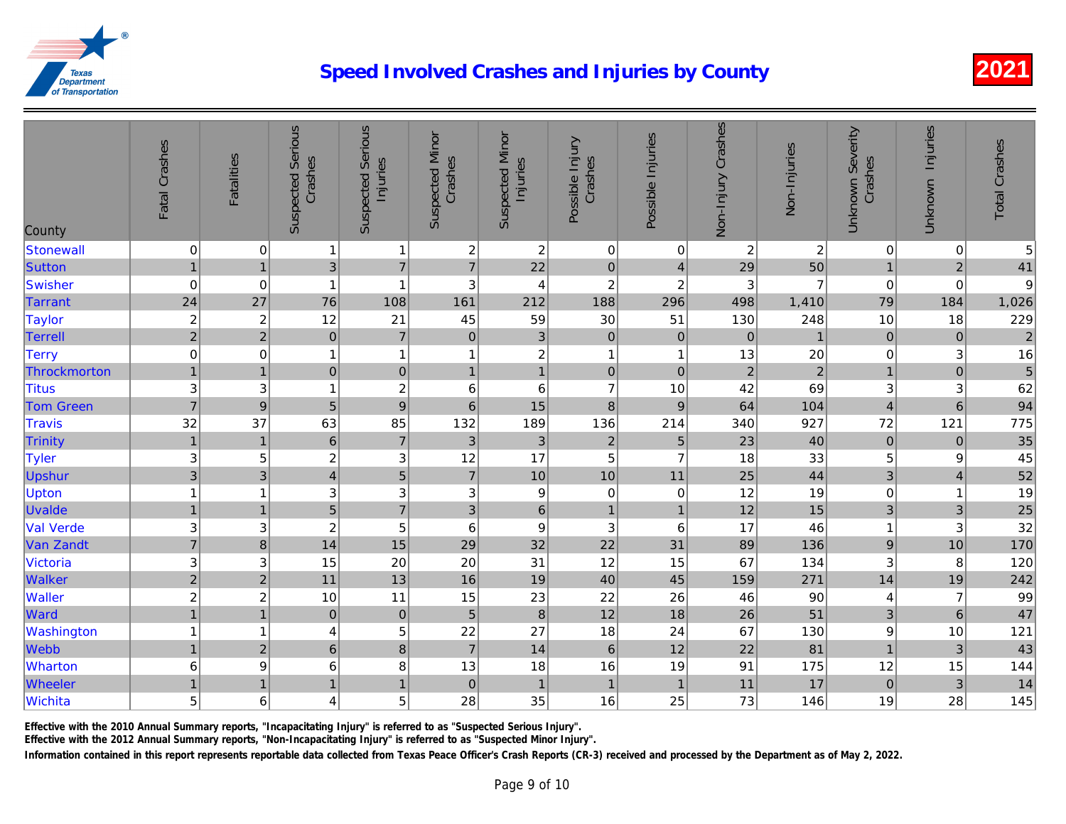| County           | Fatal Crashes             | <b>Fatalities</b>       | <b>Suspected Serious</b><br>Crashes | <b>Suspected Serious</b><br>Injuries | <b>Suspected Minor</b><br>Crashes | <b>Suspected Minor</b><br>Injuries | Possible Injury<br>Crashes | Possible Injuries       | Non-Injury Crashes | Non-Injuries            |
|------------------|---------------------------|-------------------------|-------------------------------------|--------------------------------------|-----------------------------------|------------------------------------|----------------------------|-------------------------|--------------------|-------------------------|
| <b>Stonewall</b> | $\mathbf 0$               | $\mathbf 0$             | $\mathbf{1}$                        | $\mathbf{1}$                         | $\sqrt{2}$                        | $\overline{c}$                     | $\pmb{0}$                  | 0                       | $\overline{c}$     | $\overline{\mathbf{c}}$ |
| Sutton           | $\mathbf{1}$              | $\overline{1}$          | $\overline{3}$                      | $\overline{7}$                       | $\overline{7}$                    | 22                                 | $\mathbf 0$                | $\overline{4}$          | 29                 | 50                      |
| <b>Swisher</b>   | $\boldsymbol{0}$          | $\mathbf 0$             | $\overline{1}$                      | $\overline{1}$                       | 3                                 | 4                                  | $\overline{c}$             | $\boldsymbol{2}$        | 3                  | $\overline{7}$          |
| <b>Tarrant</b>   | 24                        | 27                      | 76                                  | 108                                  | 161                               | 212                                | 188                        | 296                     | 498                | 1,410                   |
| <b>Taylor</b>    | $\overline{\mathbf{c}}$   | $\overline{\mathbf{c}}$ | 12                                  | 21                                   | 45                                | 59                                 | 30                         | 51                      | 130                | 248                     |
| <b>Terrell</b>   | $\overline{2}$            | $\overline{2}$          | $\overline{0}$                      | $\overline{7}$                       | $\pmb{0}$                         | $\mathfrak{S}$                     | $\mathbf 0$                | $\mathbf 0$             | $\pmb{0}$          | $\mathbf{1}$            |
| <b>Terry</b>     | $\boldsymbol{0}$          | 0                       | $\mathbf{1}$                        | $\mathbf{1}$                         | 1                                 | $\sqrt{2}$                         | $\mathbf{1}$               | $\overline{\mathbf{1}}$ | 13                 | 20                      |
| Throckmorton     | $\overline{1}$            | $\overline{1}$          | $\overline{0}$                      | $\mathbf 0$                          | $\mathbf{1}$                      | $\overline{1}$                     | $\pmb{0}$                  | $\mathbf 0$             | $\overline{2}$     | $\overline{c}$          |
| <b>Titus</b>     | 3                         | 3                       | $\overline{1}$                      | $\overline{c}$                       | 6                                 | $\,6\,$                            | $\overline{7}$             | 10                      | 42                 | 69                      |
| <b>Tom Green</b> | $\overline{7}$            | $\boldsymbol{9}$        | 5                                   | $\overline{9}$                       | $\,6$                             | 15                                 | $\boldsymbol{8}$           | $\boldsymbol{9}$        | 64                 | 104                     |
| <b>Travis</b>    | 32                        | 37                      | 63                                  | 85                                   | 132                               | 189                                | 136                        | 214                     | 340                | 927                     |
| Trinity          | $\overline{1}$            | $\overline{1}$          | $\,$ 6 $\,$                         | $\overline{7}$                       | 3                                 | $\ensuremath{\mathsf{3}}$          | $\sqrt{2}$                 | $\sqrt{5}$              | 23                 | 40                      |
| <b>Tyler</b>     | $\mathbf{3}$              | 5                       | $\overline{c}$                      | $\mathbf{3}$                         | 12                                | 17                                 | 5                          | $\overline{7}$          | 18                 | 33                      |
| <b>Upshur</b>    | $\overline{3}$            | 3                       | $\overline{\mathbf{4}}$             | 5                                    | $\overline{7}$                    | 10                                 | 10                         | 11                      | 25                 | 44                      |
| Upton            | $\overline{1}$            | 1                       | 3                                   | 3                                    | 3                                 | $\boldsymbol{9}$                   | $\mathbf 0$                | $\boldsymbol{0}$        | 12                 | 19                      |
| <b>Uvalde</b>    | $\mathbf{1}$              | $\mathbf{1}$            | 5 <sup>1</sup>                      | $\overline{7}$                       | 3                                 | $\,6\,$                            | $\mathbf{1}$               | $\mathbf{1}$            | 12                 | 15                      |
| <b>Val Verde</b> | $\ensuremath{\mathsf{3}}$ | 3                       | $\overline{c}$                      | 5                                    | 6                                 | $\boldsymbol{9}$                   | 3                          | 6                       | 17                 | 46                      |
| Van Zandt        | $\overline{7}$            | $\bf 8$                 | 14                                  | 15                                   | 29                                | 32                                 | 22                         | 31                      | 89                 | 136                     |
| <b>Victoria</b>  | $\mathbf{3}$              | 3                       | 15                                  | 20                                   | 20                                | 31                                 | 12                         | 15                      | 67                 | 134                     |
| Walker           | $\overline{c}$            | $\overline{c}$          | 11                                  | 13                                   | 16                                | 19                                 | 40                         | 45                      | 159                | 271                     |
| <b>Waller</b>    | $\overline{c}$            | $\overline{c}$          | 10                                  | 11                                   | 15                                | 23                                 | 22                         | 26                      | 46                 | 90                      |
| Ward             | $\overline{1}$            | $\overline{1}$          | $\overline{0}$                      | $\pmb{0}$                            | 5                                 | $\,8\,$                            | 12                         | 18                      | 26                 | 51                      |
| Washington       | $\overline{1}$            | 1                       | 4                                   | 5                                    | 22                                | 27                                 | 18                         | 24                      | 67                 | 130                     |
| Webb             | $\mathbf{1}$              | $\overline{c}$          | $\,6$                               | $\overline{8}$                       | $\overline{7}$                    | 14                                 | $6\phantom{1}6$            | 12                      | 22                 | 81                      |
| <b>Wharton</b>   | $\,6\,$                   | 9                       | 6                                   | 8                                    | 13                                | 18                                 | 16                         | 19                      | 91                 | 175                     |
| Wheeler          | $\overline{1}$            | $\overline{1}$          | 1                                   | $\mathbf{1}$                         | $\pmb{0}$                         | $\overline{1}$                     | $\mathbf{1}$               | $\overline{1}$          | 11                 | 17                      |
| Wichita          | 5                         | 6                       | 4                                   | 5                                    | 28                                | 35                                 | 16                         | 25                      | 73                 | 146                     |

Effective with the 2010 Annual Summary reports, "Incapacitating Injury" is referred to as "Suspected Serious Injury".

Effective with the 2012 Annual Summary reports, "Non-Incapacitating Injury" is referred to as "Suspected Minor Injury".